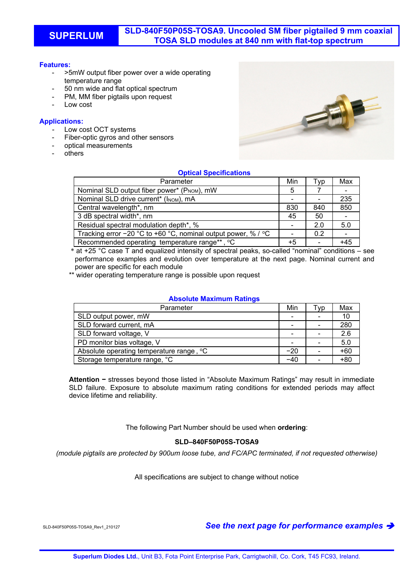# **Features:**

- >5mW output fiber power over a wide operating temperature range
- 50 nm wide and flat optical spectrum
- PM, MM fiber pigtails upon request
- Low cost

# **Applications:**

- Low cost OCT systems
- Fiber-optic gyros and other sensors
- optical measurements
- others



# **Optical Specifications**

| Parameter                                                     | Min  | Tvp | Max   |
|---------------------------------------------------------------|------|-----|-------|
| Nominal SLD output fiber power* (PNOM), mW                    | 5    |     |       |
| Nominal SLD drive current* (INOM), mA                         |      |     | 235   |
| Central wavelength*, nm                                       | 830  | 840 | 850   |
| 3 dB spectral width*, nm                                      | 45   | 50  |       |
| Residual spectral modulation depth*, %                        |      | 2.0 | 5.0   |
| Tracking error -20 °C to +60 °C, nominal output power, % / °C |      | 0.2 |       |
| Recommended operating temperature range**, °C                 | $+5$ |     | $+45$ |

\* at +25 °C case T and equalized intensity of spectral peaks, so-called "nominal" conditions – see performance examples and evolution over temperature at the next page. Nominal current and power are specific for each module

\*\* wider operating temperature range is possible upon request

### **Absolute Maximum Ratings**

| Parameter                                | Min            | Tvp | Max   |
|------------------------------------------|----------------|-----|-------|
| SLD output power, mW                     | $\blacksquare$ |     |       |
| SLD forward current, mA                  | -              |     | 280   |
| SLD forward voltage, V                   |                |     | 2.6   |
| PD monitor bias voltage, V               |                |     | 5.0   |
| Absolute operating temperature range, °C | $-20$          |     | $+60$ |
| Storage temperature range, °C            | -40            |     | $+80$ |

**Attention −** stresses beyond those listed in "Absolute Maximum Ratings" may result in immediate SLD failure. Exposure to absolute maximum rating conditions for extended periods may affect device lifetime and reliability.

The following Part Number should be used when **ordering**:

# **SLD–840F50P05S-TOSA9**

*(module pigtails are protected by 900um loose tube, and FC/APC terminated, if not requested otherwise)* 

All specifications are subject to change without notice

SLD-840F50P05S-TOSA9\_Rev1\_210127 *See the next page for performance examples*